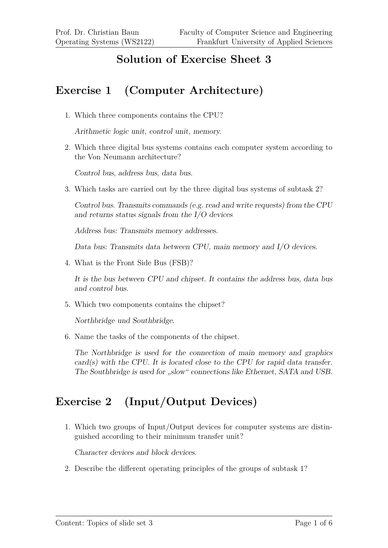### **Solution of Exercise Sheet 3**

## **Exercise 1 (Computer Architecture)**

1. Which three components contains the CPU?

Arithmetic logic unit, control unit, memory.

2. Which three digital bus systems contains each computer system according to the Von Neumann architecture?

Control bus, address bus, data bus.

3. Which tasks are carried out by the three digital bus systems of subtask 2?

Control bus. Transmits commands (e.g. read and write requests) from the CPU and returns status signals from the I/O devices

Address bus: Transmits memory addresses.

Data bus: Transmits data between CPU, main memory and I/O devices.

4. What is the Front Side Bus (FSB)?

It is the bus between CPU and chipset. It contains the address bus, data bus and control bus.

5. Which two components contains the chipset?

Northbridge und Southbridge.

6. Name the tasks of the components of the chipset.

The Northbridge is used for the connection of main memory and graphics  $card(s)$  with the CPU. It is located close to the CPU for rapid data transfer. The Southbridge is used for "slow" connections like Ethernet, SATA and USB.

#### **Exercise 2 (Input/Output Devices)**

1. Which two groups of Input/Output devices for computer systems are distinguished according to their minimum transfer unit?

Character devices and block devices.

2. Describe the different operating principles of the groups of subtask 1?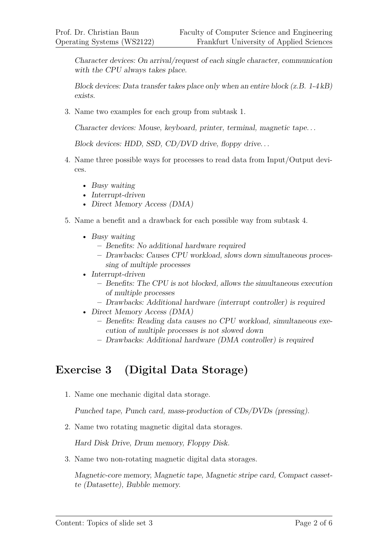Character devices: On arrival/request of each single character, communication with the CPU always takes place.

Block devices: Data transfer takes place only when an entire block (z.B. 1-4 kB) exists.

3. Name two examples for each group from subtask 1.

Character devices: Mouse, keyboard, printer, terminal, magnetic tape. . .

Block devices: HDD, SSD, CD/DVD drive, floppy drive...

- 4. Name three possible ways for processes to read data from Input/Output devices.
	- Busy waiting
	- Interrupt-driven
	- Direct Memory Access (DMA)
- 5. Name a benefit and a drawback for each possible way from subtask 4.
	- Busy waiting
		- **–** Benefits: No additional hardware required
		- **–** Drawbacks: Causes CPU workload, slows down simultaneous processing of multiple processes
	- Interrupt-driven
		- **–** Benefits: The CPU is not blocked, allows the simultaneous execution of multiple processes
		- **–** Drawbacks: Additional hardware (interrupt controller) is required
	- Direct Memory Access (DMA)
		- **–** Benefits: Reading data causes no CPU workload, simultaneous execution of multiple processes is not slowed down
		- **–** Drawbacks: Additional hardware (DMA controller) is required

#### **Exercise 3 (Digital Data Storage)**

1. Name one mechanic digital data storage.

Punched tape, Punch card, mass-production of CDs/DVDs (pressing).

2. Name two rotating magnetic digital data storages.

Hard Disk Drive, Drum memory, Floppy Disk.

3. Name two non-rotating magnetic digital data storages.

Magnetic-core memory, Magnetic tape, Magnetic stripe card, Compact cassette (Datasette), Bubble memory.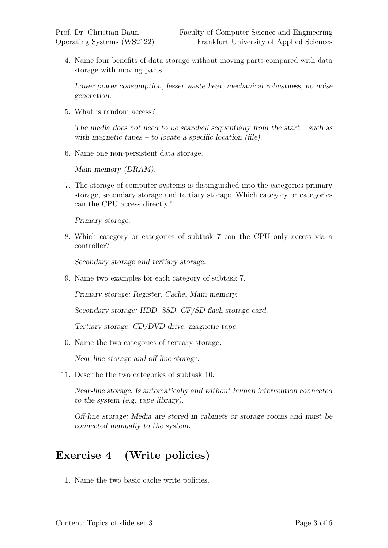4. Name four benefits of data storage without moving parts compared with data storage with moving parts.

Lower power consumption, lesser waste heat, mechanical robustness, no noise generation.

5. What is random access?

The media does not need to be searched sequentially from the start – such as with magnetic tapes – to locate a specific location (file).

6. Name one non-persistent data storage.

Main memory (DRAM).

7. The storage of computer systems is distinguished into the categories primary storage, secondary storage and tertiary storage. Which category or categories can the CPU access directly?

Primary storage.

8. Which category or categories of subtask 7 can the CPU only access via a controller?

Secondary storage and tertiary storage.

9. Name two examples for each category of subtask 7.

Primary storage: Register, Cache, Main memory.

Secondary storage: HDD, SSD, CF/SD flash storage card.

Tertiary storage: CD/DVD drive, magnetic tape.

10. Name the two categories of tertiary storage.

Near-line storage and off-line storage.

11. Describe the two categories of subtask 10.

Near-line storage: Is automatically and without human intervention connected to the system (e.g. tape library).

Off-line storage: Media are stored in cabinets or storage rooms and must be connected manually to the system.

# **Exercise 4 (Write policies)**

1. Name the two basic cache write policies.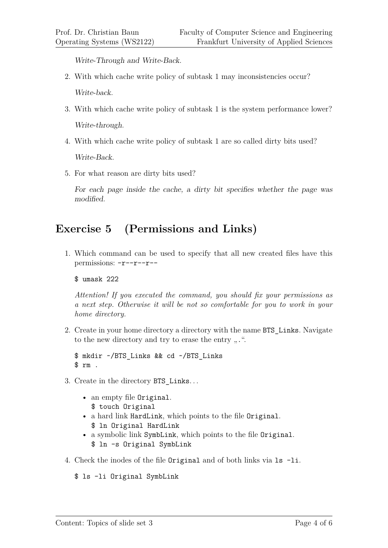Write-Through and Write-Back.

- 2. With which cache write policy of subtask 1 may inconsistencies occur? Write-back.
- 3. With which cache write policy of subtask 1 is the system performance lower? Write-through.
- 4. With which cache write policy of subtask 1 are so called dirty bits used?

Write-Back.

5. For what reason are dirty bits used?

For each page inside the cache, a dirty bit specifies whether the page was modified.

#### **Exercise 5 (Permissions and Links)**

1. Which command can be used to specify that all new created files have this permissions: -r--r--r--

\$ umask 222

*Attention! If you executed the command, you should fix your permissions as a next step. Otherwise it will be not so comfortable for you to work in your home directory.*

2. Create in your home directory a directory with the name BTS\_Links. Navigate to the new directory and try to erase the entry  $\ldots$ ".

```
$ mkdir ~/BTS_Links && cd ~/BTS_Links
$rm.
```
- 3. Create in the directory BTS\_Links. . .
	- an empty file Original. \$ touch Original
	- a hard link HardLink, which points to the file Original. \$ ln Original HardLink
	- a symbolic link SymbLink, which points to the file Original. \$ ln -s Original SymbLink
- 4. Check the inodes of the file Original and of both links via ls -li.

```
$ ls -li Original SymbLink
```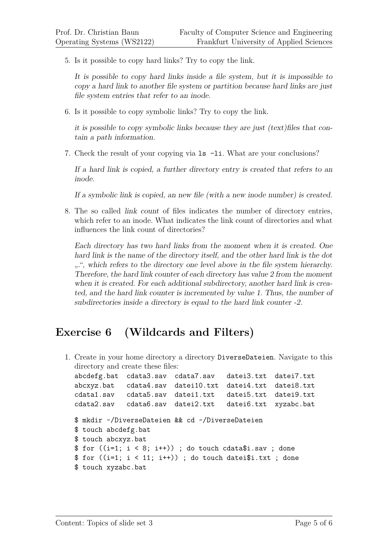5. Is it possible to copy hard links? Try to copy the link.

It is possible to copy hard links inside a file system, but it is impossible to copy a hard link to another file system or partition because hard links are just file system entries that refer to an inode.

6. Is it possible to copy symbolic links? Try to copy the link.

it is possible to copy symbolic links because they are just (text)files that contain a path information.

7. Check the result of your copying via ls -li. What are your conclusions?

If a hard link is copied, a further directory entry is created that refers to an inode.

If a symbolic link is copied, an new file (with a new inode number) is created.

8. The so called link count of files indicates the number of directory entries, which refer to an inode. What indicates the link count of directories and what influences the link count of directories?

Each directory has two hard links from the moment when it is created. One hard link is the name of the directory itself, and the other hard link is the dot ".", which refers to the directory one level above in the file system hierarchy. Therefore, the hard link counter of each directory has value 2 from the moment when it is created. For each additional subdirectory, another hard link is created, and the hard link counter is incremented by value 1. Thus, the number of subdirectories inside a directory is equal to the hard link counter -2.

#### **Exercise 6 (Wildcards and Filters)**

1. Create in your home directory a directory DiverseDateien. Navigate to this directory and create these files: abcdefg.bat cdata3.sav cdata7.sav datei3.txt datei7.txt abcxyz.bat cdata4.sav datei10.txt datei4.txt datei8.txt cdata1.sav cdata5.sav datei1.txt datei5.txt datei9.txt cdata2.sav cdata6.sav datei2.txt datei6.txt xyzabc.bat \$ mkdir ~/DiverseDateien && cd ~/DiverseDateien \$ touch abcdefg.bat \$ touch abcxyz.bat  $$ for ((i=1; i < 8; i++)$); do touch cdata$i.sav ; done$  $$ for ((i=1; i < 11; i++)$); do touch datei$ ; txt; done \$ touch xyzabc.bat